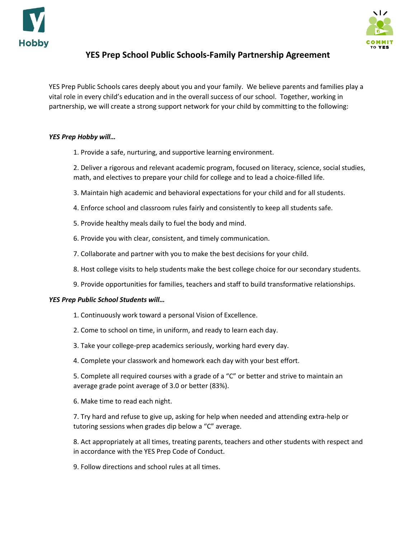



## **YES Prep School Public Schools-Family Partnership Agreement**

YES Prep Public Schools cares deeply about you and your family. We believe parents and families play a vital role in every child's education and in the overall success of our school. Together, working in partnership, we will create a strong support network for your child by committing to the following:

## *YES Prep Hobby will…*

1. Provide a safe, nurturing, and supportive learning environment.

2. Deliver a rigorous and relevant academic program, focused on literacy, science, social studies, math, and electives to prepare your child for college and to lead a choice-filled life.

- 3. Maintain high academic and behavioral expectations for your child and for all students.
- 4. Enforce school and classroom rules fairly and consistently to keep all students safe.
- 5. Provide healthy meals daily to fuel the body and mind.
- 6. Provide you with clear, consistent, and timely communication.
- 7. Collaborate and partner with you to make the best decisions for your child.
- 8. Host college visits to help students make the best college choice for our secondary students.
- 9. Provide opportunities for families, teachers and staff to build transformative relationships.

## *YES Prep Public School Students will…*

- 1. Continuously work toward a personal Vision of Excellence.
- 2. Come to school on time, in uniform, and ready to learn each day.
- 3. Take your college-prep academics seriously, working hard every day.
- 4. Complete your classwork and homework each day with your best effort.

5. Complete all required courses with a grade of a "C" or better and strive to maintain an average grade point average of 3.0 or better (83%).

6. Make time to read each night.

7. Try hard and refuse to give up, asking for help when needed and attending extra-help or tutoring sessions when grades dip below a "C" average.

8. Act appropriately at all times, treating parents, teachers and other students with respect and in accordance with the YES Prep Code of Conduct.

9. Follow directions and school rules at all times.